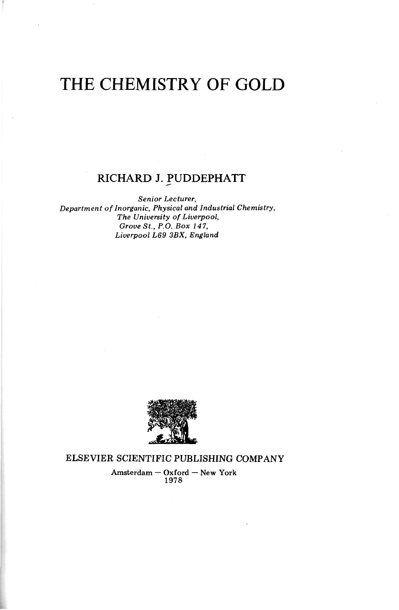# THE CHEMISTRY OF GOLD

## RICHARD J. PUDDEPHATT

*Senior Lecturer, Department of Inorganic, Physical and Industrial Chemistry, The University of Liverpool, Grove St., P.O. Box 147, Liverpool L69 3BX, England* 



ELSEVIER SCIENTIFIC PUBLISHING COMPANY

Amsterdam — Oxford — New York 1978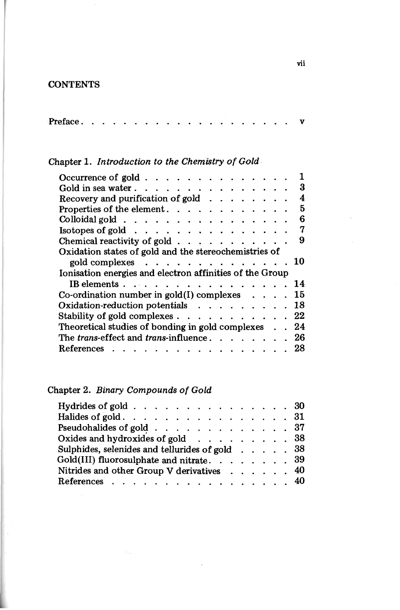#### **CONTENTS**

## Chapter 1. *Introduction to the Chemistry of Gold*

| 3                                      |
|----------------------------------------|
| 4                                      |
| 5                                      |
| 6                                      |
| 7                                      |
| 9                                      |
|                                        |
| 10                                     |
|                                        |
| 14                                     |
| 15                                     |
| 18                                     |
| Stability of gold complexes 22         |
| 24                                     |
| The trans-effect and trans-influence26 |
| 28                                     |
|                                        |

## Chapter 2. *Binary Compounds of Gold*

| Hydrides of gold $\ldots$ 30                      |  |  |  |  |
|---------------------------------------------------|--|--|--|--|
| Halides of gold. 31                               |  |  |  |  |
| Pseudohalides of gold 37                          |  |  |  |  |
| Oxides and hydroxides of gold 38                  |  |  |  |  |
| Sulphides, selenides and tellurides of gold 38    |  |  |  |  |
| Gold(III) fluorosulphate and nitrate. $\ldots$ 39 |  |  |  |  |
| Nitrides and other Group V derivatives 40         |  |  |  |  |
| References 40                                     |  |  |  |  |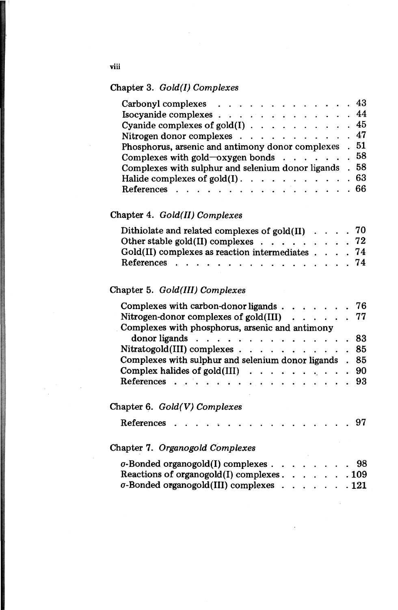#### Chapter 3. *Gold(I) Complexes*

| Carbonyl complexes $\ldots$ $\ldots$ $\ldots$ $\ldots$ $\ldots$ 43       |      |
|--------------------------------------------------------------------------|------|
| Isocyanide complexes $\ldots$ $\ldots$ $\ldots$ $\ldots$ $\ldots$ 44     |      |
| Cyanide complexes of gold(I) $\ldots$ 45                                 |      |
| Nitrogen donor complexes $\ldots$ $\ldots$ $\ldots$ $\ldots$ $\ldots$ 47 |      |
| Phosphorus, arsenic and antimony donor complexes . 51                    |      |
| Complexes with gold-oxygen bonds $\ldots$ $\ldots$ $\ldots$ 58           |      |
| Complexes with sulphur and selenium donor ligands . 58                   |      |
| Halide complexes of gold $(I)$ . 63                                      |      |
| References                                                               | - 66 |
|                                                                          |      |

#### Chapter 4. *Gold(II) Complexes*

| Other stable gold(II) complexes $\ldots$ 72                  |  |  |  |
|--------------------------------------------------------------|--|--|--|
| $Gold(II)$ complexes as reaction intermediates $\ldots$ . 74 |  |  |  |
| References 74                                                |  |  |  |

#### Chapter 5. *Gold(III) Complexes*

| Complexes with carbon-donor ligands 76                                 |  |
|------------------------------------------------------------------------|--|
| Nitrogen-donor complexes of gold(III) $\ldots$ 77                      |  |
| Complexes with phosphorus, arsenic and antimony                        |  |
| donor ligands $\ldots$ $\ldots$ $\ldots$ $\ldots$ $\ldots$ $\ldots$ 83 |  |
| Nitratogold(III) complexes 85                                          |  |
| Complexes with sulphur and selenium donor ligands . 85                 |  |
| Complex halides of gold(III) $\ldots$ 90                               |  |
| References 93                                                          |  |

## Chapter 6. *Gold(V) Complexes*

| References 97 |  |  |  |  |  |  |  |  |  |
|---------------|--|--|--|--|--|--|--|--|--|
|               |  |  |  |  |  |  |  |  |  |

#### Chapter 7. *Organogold Complexes*

| $\sigma$ -Bonded organogold(I) complexes $\ldots$ $\ldots$ $\ldots$ |  |  |  | -98  |
|---------------------------------------------------------------------|--|--|--|------|
| Reactions of organogold $(I)$ complexes                             |  |  |  | .109 |
| $\sigma$ -Bonded organogold(III) complexes 121                      |  |  |  |      |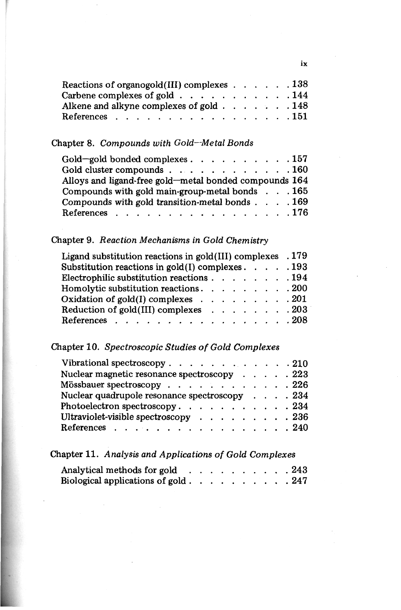| Reactions of organogold (III) complexes $\ldots$ 138          |  |  |  |
|---------------------------------------------------------------|--|--|--|
| Carbene complexes of gold $\ldots$ 144                        |  |  |  |
| Alkene and alkyne complexes of gold $\ldots$ , $\ldots$ , 148 |  |  |  |
| References 151                                                |  |  |  |

#### Chapter 8. *Compounds with Gold—Metal Bonds*

| Gold-gold bonded complexes 157                            |  |
|-----------------------------------------------------------|--|
| Gold cluster compounds 160                                |  |
| Alloys and ligand-free gold—metal bonded compounds 164    |  |
| Compounds with gold main-group-metal bonds $\ldots$ . 165 |  |
| Compounds with gold transition-metal bonds 169            |  |
| References 176                                            |  |

#### Chapter 9. *Reaction Mechanisms in Gold Chemistry*

| Ligand substitution reactions in $gold(III)$ complexes . 179             |  |  |  |  |  |  |  |  |  |  |  |
|--------------------------------------------------------------------------|--|--|--|--|--|--|--|--|--|--|--|
| Substitution reactions in $gold(I)$ complexes 193                        |  |  |  |  |  |  |  |  |  |  |  |
| Electrophilic substitution reactions 194                                 |  |  |  |  |  |  |  |  |  |  |  |
| Homolytic substitution reactions 200                                     |  |  |  |  |  |  |  |  |  |  |  |
| Oxidation of gold(I) complexes $\ldots$ $\ldots$ $\ldots$ $\ldots$ . 201 |  |  |  |  |  |  |  |  |  |  |  |
| Reduction of $gold(III)$ complexes $\ldots$ $\ldots$ $\ldots$ 203        |  |  |  |  |  |  |  |  |  |  |  |
| References 208                                                           |  |  |  |  |  |  |  |  |  |  |  |

## Chapter 10. *Spectroscopic Studies of Gold Complexes*

| Vibrational spectroscopy 210                                               |  |  |
|----------------------------------------------------------------------------|--|--|
| Nuclear magnetic resonance spectroscopy 223                                |  |  |
| Mössbauer spectroscopy 226                                                 |  |  |
| Nuclear quadrupole resonance spectroscopy 234                              |  |  |
| Photoelectron spectroscopy. $\ldots$ 234                                   |  |  |
| Ultraviolet-visible spectroscopy $\cdots$ $\cdots$ $\cdots$ $\cdots$ . 236 |  |  |
| References 240                                                             |  |  |

## Chapter 11. *Analysis and Applications of Gold Complexes*

| Analytical methods for gold      |  |  |  |  | 243  |
|----------------------------------|--|--|--|--|------|
| Biological applications of gold. |  |  |  |  | -247 |